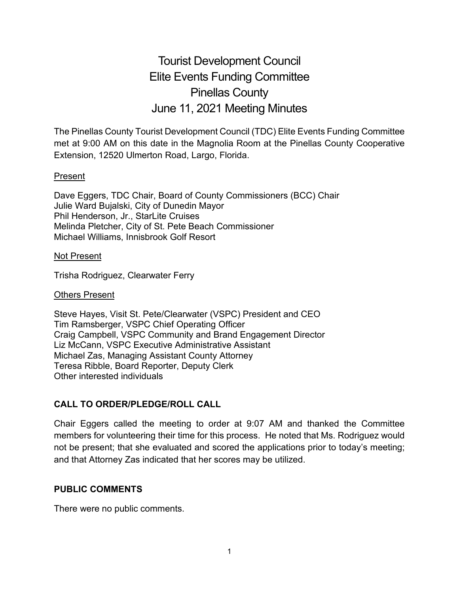# Tourist Development Council Elite Events Funding Committee Pinellas County June 11, 2021 Meeting Minutes

The Pinellas County Tourist Development Council (TDC) Elite Events Funding Committee met at 9:00 AM on this date in the Magnolia Room at the Pinellas County Cooperative Extension, 12520 Ulmerton Road, Largo, Florida.

#### Present

Dave Eggers, TDC Chair, Board of County Commissioners (BCC) Chair Julie Ward Bujalski, City of Dunedin Mayor Phil Henderson, Jr., StarLite Cruises Melinda Pletcher, City of St. Pete Beach Commissioner Michael Williams, Innisbrook Golf Resort

#### Not Present

Trisha Rodriguez, Clearwater Ferry

#### Others Present

Steve Hayes, Visit St. Pete/Clearwater (VSPC) President and CEO Tim Ramsberger, VSPC Chief Operating Officer Craig Campbell, VSPC Community and Brand Engagement Director Liz McCann, VSPC Executive Administrative Assistant Michael Zas, Managing Assistant County Attorney Teresa Ribble, Board Reporter, Deputy Clerk Other interested individuals

## **CALL TO ORDER/PLEDGE/ROLL CALL**

Chair Eggers called the meeting to order at 9:07 AM and thanked the Committee members for volunteering their time for this process. He noted that Ms. Rodriguez would not be present; that she evaluated and scored the applications prior to today's meeting; and that Attorney Zas indicated that her scores may be utilized.

#### **PUBLIC COMMENTS**

There were no public comments.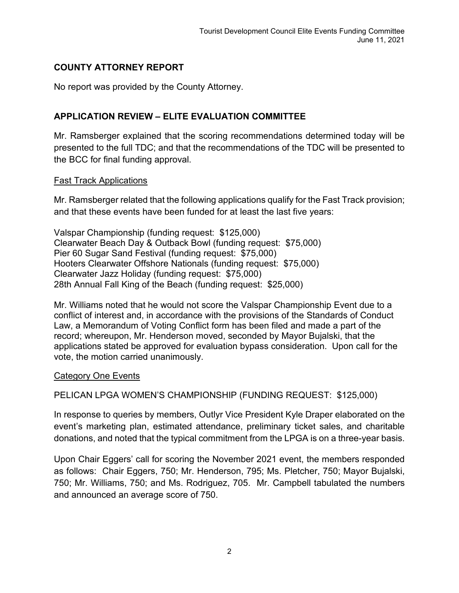# **COUNTY ATTORNEY REPORT**

No report was provided by the County Attorney.

# **APPLICATION REVIEW – ELITE EVALUATION COMMITTEE**

Mr. Ramsberger explained that the scoring recommendations determined today will be presented to the full TDC; and that the recommendations of the TDC will be presented to the BCC for final funding approval.

#### Fast Track Applications

Mr. Ramsberger related that the following applications qualify for the Fast Track provision; and that these events have been funded for at least the last five years:

Valspar Championship (funding request: \$125,000) Clearwater Beach Day & Outback Bowl (funding request: \$75,000) Pier 60 Sugar Sand Festival (funding request: \$75,000) Hooters Clearwater Offshore Nationals (funding request: \$75,000) Clearwater Jazz Holiday (funding request: \$75,000) 28th Annual Fall King of the Beach (funding request: \$25,000)

Mr. Williams noted that he would not score the Valspar Championship Event due to a conflict of interest and, in accordance with the provisions of the Standards of Conduct Law, a Memorandum of Voting Conflict form has been filed and made a part of the record; whereupon, Mr. Henderson moved, seconded by Mayor Bujalski, that the applications stated be approved for evaluation bypass consideration. Upon call for the vote, the motion carried unanimously.

## Category One Events

PELICAN LPGA WOMEN'S CHAMPIONSHIP (FUNDING REQUEST: \$125,000)

In response to queries by members, Outlyr Vice President Kyle Draper elaborated on the event's marketing plan, estimated attendance, preliminary ticket sales, and charitable donations, and noted that the typical commitment from the LPGA is on a three-year basis.

Upon Chair Eggers' call for scoring the November 2021 event, the members responded as follows: Chair Eggers, 750; Mr. Henderson, 795; Ms. Pletcher, 750; Mayor Bujalski, 750; Mr. Williams, 750; and Ms. Rodriguez, 705. Mr. Campbell tabulated the numbers and announced an average score of 750.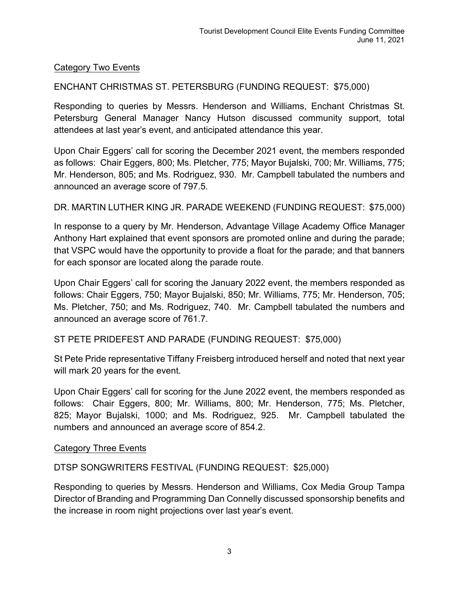## Category Two Events

ENCHANT CHRISTMAS ST. PETERSBURG (FUNDING REQUEST: \$75,000)

Responding to queries by Messrs. Henderson and Williams, Enchant Christmas St. Petersburg General Manager Nancy Hutson discussed community support, total attendees at last year's event, and anticipated attendance this year.

Upon Chair Eggers' call for scoring the December 2021 event, the members responded as follows: Chair Eggers, 800; Ms. Pletcher, 775; Mayor Bujalski, 700; Mr. Williams, 775; Mr. Henderson, 805; and Ms. Rodriguez, 930. Mr. Campbell tabulated the numbers and announced an average score of 797.5.

#### DR. MARTIN LUTHER KING JR. PARADE WEEKEND (FUNDING REQUEST: \$75,000)

In response to a query by Mr. Henderson, Advantage Village Academy Office Manager Anthony Hart explained that event sponsors are promoted online and during the parade; that VSPC would have the opportunity to provide a float for the parade; and that banners for each sponsor are located along the parade route.

Upon Chair Eggers' call for scoring the January 2022 event, the members responded as follows: Chair Eggers, 750; Mayor Bujalski, 850; Mr. Williams, 775; Mr. Henderson, 705; Ms. Pletcher, 750; and Ms. Rodriguez, 740. Mr. Campbell tabulated the numbers and announced an average score of 761.7.

ST PETE PRIDEFEST AND PARADE (FUNDING REQUEST: \$75,000)

St Pete Pride representative Tiffany Freisberg introduced herself and noted that next year will mark 20 years for the event.

Upon Chair Eggers' call for scoring for the June 2022 event, the members responded as follows: Chair Eggers, 800; Mr. Williams, 800; Mr. Henderson, 775; Ms. Pletcher, 825; Mayor Bujalski, 1000; and Ms. Rodriguez, 925. Mr. Campbell tabulated the numbers and announced an average score of 854.2.

#### Category Three Events

DTSP SONGWRITERS FESTIVAL (FUNDING REQUEST: \$25,000)

Responding to queries by Messrs. Henderson and Williams, Cox Media Group Tampa Director of Branding and Programming Dan Connelly discussed sponsorship benefits and the increase in room night projections over last year's event.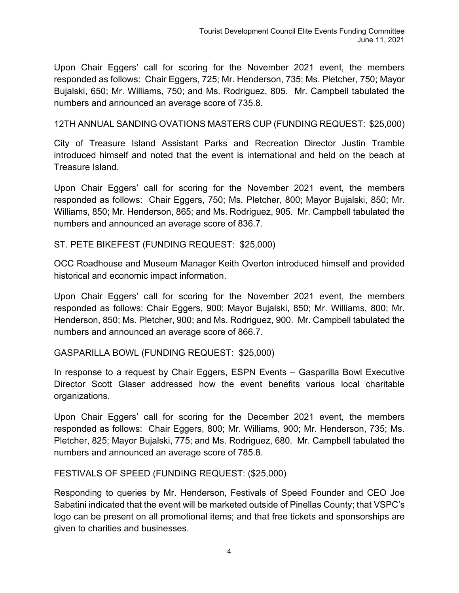Upon Chair Eggers' call for scoring for the November 2021 event, the members responded as follows: Chair Eggers, 725; Mr. Henderson, 735; Ms. Pletcher, 750; Mayor Bujalski, 650; Mr. Williams, 750; and Ms. Rodriguez, 805. Mr. Campbell tabulated the numbers and announced an average score of 735.8.

12TH ANNUAL SANDING OVATIONS MASTERS CUP (FUNDING REQUEST: \$25,000)

City of Treasure Island Assistant Parks and Recreation Director Justin Tramble introduced himself and noted that the event is international and held on the beach at Treasure Island.

Upon Chair Eggers' call for scoring for the November 2021 event, the members responded as follows: Chair Eggers, 750; Ms. Pletcher, 800; Mayor Bujalski, 850; Mr. Williams, 850; Mr. Henderson, 865; and Ms. Rodriguez, 905. Mr. Campbell tabulated the numbers and announced an average score of 836.7.

ST. PETE BIKEFEST (FUNDING REQUEST: \$25,000)

OCC Roadhouse and Museum Manager Keith Overton introduced himself and provided historical and economic impact information.

Upon Chair Eggers' call for scoring for the November 2021 event, the members responded as follows: Chair Eggers, 900; Mayor Bujalski, 850; Mr. Williams, 800; Mr. Henderson, 850; Ms. Pletcher, 900; and Ms. Rodriguez, 900. Mr. Campbell tabulated the numbers and announced an average score of 866.7.

GASPARILLA BOWL (FUNDING REQUEST: \$25,000)

In response to a request by Chair Eggers, ESPN Events – Gasparilla Bowl Executive Director Scott Glaser addressed how the event benefits various local charitable organizations.

Upon Chair Eggers' call for scoring for the December 2021 event, the members responded as follows: Chair Eggers, 800; Mr. Williams, 900; Mr. Henderson, 735; Ms. Pletcher, 825; Mayor Bujalski, 775; and Ms. Rodriguez, 680. Mr. Campbell tabulated the numbers and announced an average score of 785.8.

FESTIVALS OF SPEED (FUNDING REQUEST: (\$25,000)

Responding to queries by Mr. Henderson, Festivals of Speed Founder and CEO Joe Sabatini indicated that the event will be marketed outside of Pinellas County; that VSPC's logo can be present on all promotional items; and that free tickets and sponsorships are given to charities and businesses.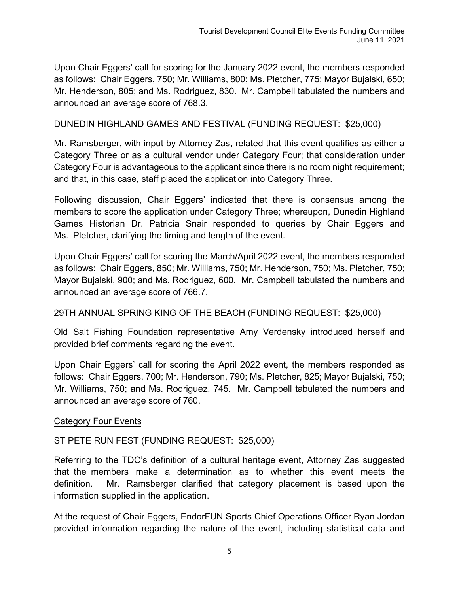Upon Chair Eggers' call for scoring for the January 2022 event, the members responded as follows: Chair Eggers, 750; Mr. Williams, 800; Ms. Pletcher, 775; Mayor Bujalski, 650; Mr. Henderson, 805; and Ms. Rodriguez, 830. Mr. Campbell tabulated the numbers and announced an average score of 768.3.

DUNEDIN HIGHLAND GAMES AND FESTIVAL (FUNDING REQUEST: \$25,000)

Mr. Ramsberger, with input by Attorney Zas, related that this event qualifies as either a Category Three or as a cultural vendor under Category Four; that consideration under Category Four is advantageous to the applicant since there is no room night requirement; and that, in this case, staff placed the application into Category Three.

Following discussion, Chair Eggers' indicated that there is consensus among the members to score the application under Category Three; whereupon, Dunedin Highland Games Historian Dr. Patricia Snair responded to queries by Chair Eggers and Ms. Pletcher, clarifying the timing and length of the event.

Upon Chair Eggers' call for scoring the March/April 2022 event, the members responded as follows: Chair Eggers, 850; Mr. Williams, 750; Mr. Henderson, 750; Ms. Pletcher, 750; Mayor Bujalski, 900; and Ms. Rodriguez, 600. Mr. Campbell tabulated the numbers and announced an average score of 766.7.

29TH ANNUAL SPRING KING OF THE BEACH (FUNDING REQUEST: \$25,000)

Old Salt Fishing Foundation representative Amy Verdensky introduced herself and provided brief comments regarding the event.

Upon Chair Eggers' call for scoring the April 2022 event, the members responded as follows: Chair Eggers, 700; Mr. Henderson, 790; Ms. Pletcher, 825; Mayor Bujalski, 750; Mr. Williams, 750; and Ms. Rodriguez, 745. Mr. Campbell tabulated the numbers and announced an average score of 760.

## Category Four Events

# ST PETE RUN FEST (FUNDING REQUEST: \$25,000)

Referring to the TDC's definition of a cultural heritage event, Attorney Zas suggested that the members make a determination as to whether this event meets the definition. Mr. Ramsberger clarified that category placement is based upon the information supplied in the application.

At the request of Chair Eggers, EndorFUN Sports Chief Operations Officer Ryan Jordan provided information regarding the nature of the event, including statistical data and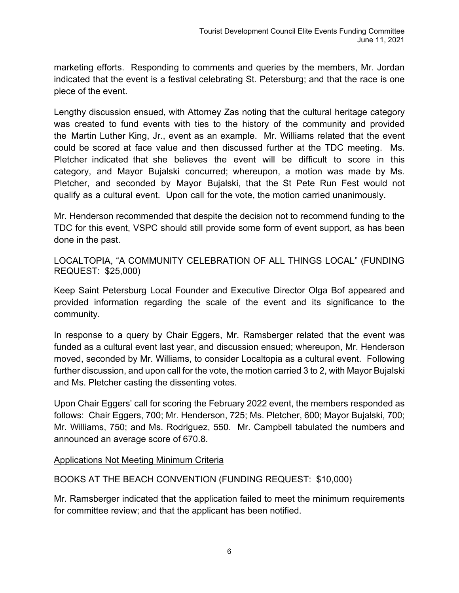marketing efforts. Responding to comments and queries by the members, Mr. Jordan indicated that the event is a festival celebrating St. Petersburg; and that the race is one piece of the event.

Lengthy discussion ensued, with Attorney Zas noting that the cultural heritage category was created to fund events with ties to the history of the community and provided the Martin Luther King, Jr., event as an example. Mr. Williams related that the event could be scored at face value and then discussed further at the TDC meeting. Ms. Pletcher indicated that she believes the event will be difficult to score in this category, and Mayor Bujalski concurred; whereupon, a motion was made by Ms. Pletcher, and seconded by Mayor Bujalski, that the St Pete Run Fest would not qualify as a cultural event. Upon call for the vote, the motion carried unanimously.

Mr. Henderson recommended that despite the decision not to recommend funding to the TDC for this event, VSPC should still provide some form of event support, as has been done in the past.

LOCALTOPIA, "A COMMUNITY CELEBRATION OF ALL THINGS LOCAL" (FUNDING REQUEST: \$25,000)

Keep Saint Petersburg Local Founder and Executive Director Olga Bof appeared and provided information regarding the scale of the event and its significance to the community.

In response to a query by Chair Eggers, Mr. Ramsberger related that the event was funded as a cultural event last year, and discussion ensued; whereupon, Mr. Henderson moved, seconded by Mr. Williams, to consider Localtopia as a cultural event. Following further discussion, and upon call for the vote, the motion carried 3 to 2, with Mayor Bujalski and Ms. Pletcher casting the dissenting votes.

Upon Chair Eggers' call for scoring the February 2022 event, the members responded as follows: Chair Eggers, 700; Mr. Henderson, 725; Ms. Pletcher, 600; Mayor Bujalski, 700; Mr. Williams, 750; and Ms. Rodriguez, 550. Mr. Campbell tabulated the numbers and announced an average score of 670.8.

## Applications Not Meeting Minimum Criteria

## BOOKS AT THE BEACH CONVENTION (FUNDING REQUEST: \$10,000)

Mr. Ramsberger indicated that the application failed to meet the minimum requirements for committee review; and that the applicant has been notified.